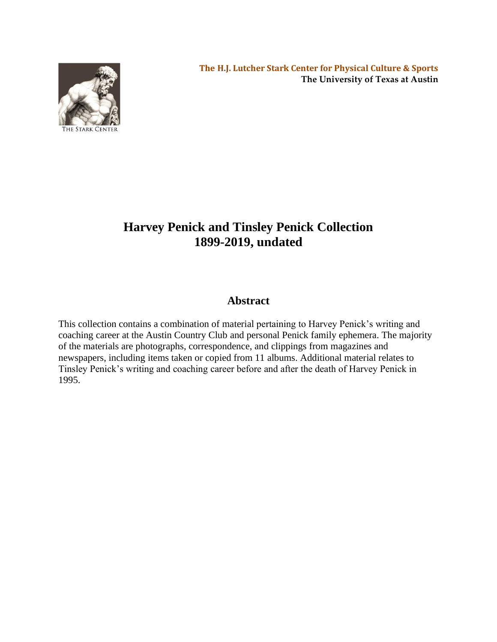

# **Harvey Penick and Tinsley Penick Collection 1899-2019, undated**

# **Abstract**

This collection contains a combination of material pertaining to Harvey Penick's writing and coaching career at the Austin Country Club and personal Penick family ephemera. The majority of the materials are photographs, correspondence, and clippings from magazines and newspapers, including items taken or copied from 11 albums. Additional material relates to Tinsley Penick's writing and coaching career before and after the death of Harvey Penick in 1995.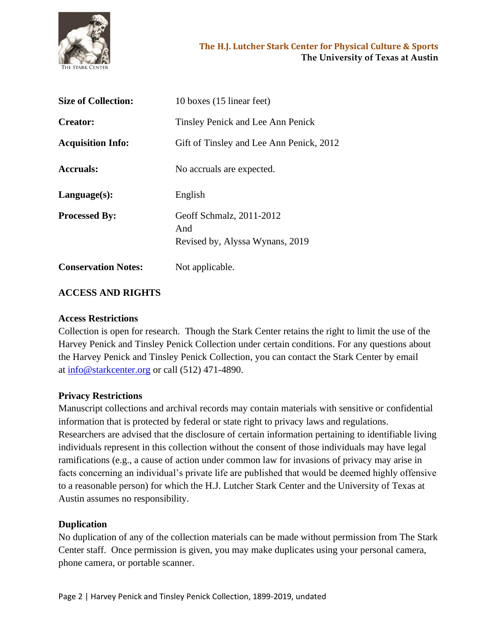

| <b>Size of Collection:</b> | 10 boxes (15 linear feet)                                          |
|----------------------------|--------------------------------------------------------------------|
| <b>Creator:</b>            | Tinsley Penick and Lee Ann Penick                                  |
| <b>Acquisition Info:</b>   | Gift of Tinsley and Lee Ann Penick, 2012                           |
| <b>Accruals:</b>           | No accruals are expected.                                          |
| Language(s):               | English                                                            |
| <b>Processed By:</b>       | Geoff Schmalz, 2011-2012<br>And<br>Revised by, Alyssa Wynans, 2019 |
| <b>Conservation Notes:</b> | Not applicable.                                                    |

# **ACCESS AND RIGHTS**

#### **Access Restrictions**

Collection is open for research. Though the Stark Center retains the right to limit the use of the Harvey Penick and Tinsley Penick Collection under certain conditions. For any questions about the Harvey Penick and Tinsley Penick Collection, you can contact the Stark Center by email at [info@starkcenter.org](mailto:info@starkcenter.org) or call (512) 471-4890.

#### **Privacy Restrictions**

Manuscript collections and archival records may contain materials with sensitive or confidential information that is protected by federal or state right to privacy laws and regulations. Researchers are advised that the disclosure of certain information pertaining to identifiable living individuals represent in this collection without the consent of those individuals may have legal ramifications (e.g., a cause of action under common law for invasions of privacy may arise in facts concerning an individual's private life are published that would be deemed highly offensive to a reasonable person) for which the H.J. Lutcher Stark Center and the University of Texas at Austin assumes no responsibility.

#### **Duplication**

No duplication of any of the collection materials can be made without permission from The Stark Center staff. Once permission is given, you may make duplicates using your personal camera, phone camera, or portable scanner.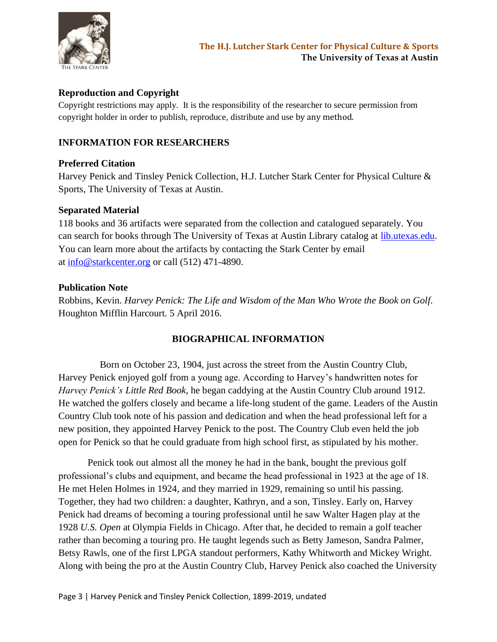

# **Reproduction and Copyright**

Copyright restrictions may apply. It is the responsibility of the researcher to secure permission from copyright holder in order to publish, reproduce, distribute and use by any method.

# **INFORMATION FOR RESEARCHERS**

#### **Preferred Citation**

Harvey Penick and Tinsley Penick Collection, H.J. Lutcher Stark Center for Physical Culture & Sports, The University of Texas at Austin.

#### **Separated Material**

118 books and 36 artifacts were separated from the collection and catalogued separately. You can search for books through The University of Texas at Austin Library catalog at [lib.utexas.edu.](http://lib.utexas.edu/) You can learn more about the artifacts by contacting the Stark Center by email at [info@starkcenter.org](mailto:info@starkcenter.org) or call (512) 471-4890.

#### **Publication Note**

Robbins, Kevin. *Harvey Penick: The Life and Wisdom of the Man Who Wrote the Book on Golf.*  Houghton Mifflin Harcourt. 5 April 2016.

# **BIOGRAPHICAL INFORMATION**

 Born on October 23, 1904, just across the street from the Austin Country Club, Harvey Penick enjoyed golf from a young age. According to Harvey's handwritten notes for *Harvey Penick's Little Red Book,* he began caddying at the Austin Country Club around 1912. He watched the golfers closely and became a life-long student of the game. Leaders of the Austin Country Club took note of his passion and dedication and when the head professional left for a new position, they appointed Harvey Penick to the post. The Country Club even held the job open for Penick so that he could graduate from high school first, as stipulated by his mother.

Penick took out almost all the money he had in the bank, bought the previous golf professional's clubs and equipment, and became the head professional in 1923 at the age of 18. He met Helen Holmes in 1924, and they married in 1929, remaining so until his passing. Together, they had two children: a daughter, Kathryn, and a son, Tinsley. Early on, Harvey Penick had dreams of becoming a touring professional until he saw Walter Hagen play at the 1928 *U.S. Open* at Olympia Fields in Chicago. After that, he decided to remain a golf teacher rather than becoming a touring pro. He taught legends such as Betty Jameson, Sandra Palmer, Betsy Rawls, one of the first LPGA standout performers, Kathy Whitworth and Mickey Wright. Along with being the pro at the Austin Country Club, Harvey Penick also coached the University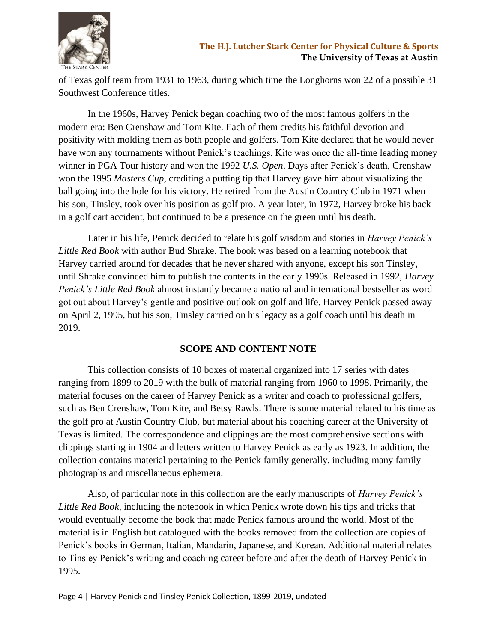

of Texas golf team from 1931 to 1963, during which time the Longhorns won 22 of a possible 31 Southwest Conference titles.

In the 1960s, Harvey Penick began coaching two of the most famous golfers in the modern era: Ben Crenshaw and Tom Kite. Each of them credits his faithful devotion and positivity with molding them as both people and golfers. Tom Kite declared that he would never have won any tournaments without Penick's teachings. Kite was once the all-time leading money winner in PGA Tour history and won the 1992 *U.S. Open*. Days after Penick's death, Crenshaw won the 1995 *Masters Cup,* crediting a putting tip that Harvey gave him about visualizing the ball going into the hole for his victory. He retired from the Austin Country Club in 1971 when his son, Tinsley, took over his position as golf pro. A year later, in 1972, Harvey broke his back in a golf cart accident, but continued to be a presence on the green until his death.

Later in his life, Penick decided to relate his golf wisdom and stories in *Harvey Penick's Little Red Book* with author Bud Shrake. The book was based on a learning notebook that Harvey carried around for decades that he never shared with anyone, except his son Tinsley, until Shrake convinced him to publish the contents in the early 1990s. Released in 1992, *Harvey Penick's Little Red Book* almost instantly became a national and international bestseller as word got out about Harvey's gentle and positive outlook on golf and life. Harvey Penick passed away on April 2, 1995, but his son, Tinsley carried on his legacy as a golf coach until his death in 2019.

#### **SCOPE AND CONTENT NOTE**

This collection consists of 10 boxes of material organized into 17 series with dates ranging from 1899 to 2019 with the bulk of material ranging from 1960 to 1998. Primarily, the material focuses on the career of Harvey Penick as a writer and coach to professional golfers, such as Ben Crenshaw, Tom Kite, and Betsy Rawls. There is some material related to his time as the golf pro at Austin Country Club, but material about his coaching career at the University of Texas is limited. The correspondence and clippings are the most comprehensive sections with clippings starting in 1904 and letters written to Harvey Penick as early as 1923. In addition, the collection contains material pertaining to the Penick family generally, including many family photographs and miscellaneous ephemera.

Also, of particular note in this collection are the early manuscripts of *Harvey Penick's Little Red Book*, including the notebook in which Penick wrote down his tips and tricks that would eventually become the book that made Penick famous around the world. Most of the material is in English but catalogued with the books removed from the collection are copies of Penick's books in German, Italian, Mandarin, Japanese, and Korean. Additional material relates to Tinsley Penick's writing and coaching career before and after the death of Harvey Penick in 1995.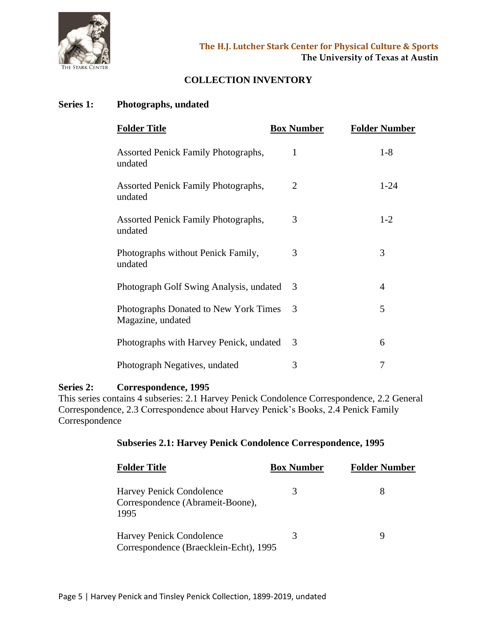

# **COLLECTION INVENTORY**

#### **Series 1: Photographs, undated**

| <b>Folder Title</b>                                        | <b>Box Number</b> | <b>Folder Number</b> |
|------------------------------------------------------------|-------------------|----------------------|
| Assorted Penick Family Photographs,<br>undated             | 1                 | $1 - 8$              |
| Assorted Penick Family Photographs,<br>undated             | 2                 | $1 - 24$             |
| Assorted Penick Family Photographs,<br>undated             | 3                 | $1-2$                |
| Photographs without Penick Family,<br>undated              | 3                 | 3                    |
| Photograph Golf Swing Analysis, undated                    | 3                 | 4                    |
| Photographs Donated to New York Times<br>Magazine, undated | 3                 | 5                    |
| Photographs with Harvey Penick, undated                    | 3                 | 6                    |
| Photograph Negatives, undated                              | 3                 | 7                    |

#### **Series 2: Correspondence, 1995**

This series contains 4 subseries: 2.1 Harvey Penick Condolence Correspondence, 2.2 General Correspondence, 2.3 Correspondence about Harvey Penick's Books, 2.4 Penick Family Correspondence

# **Subseries 2.1: Harvey Penick Condolence Correspondence, 1995**

| <b>Folder Title</b>                                                  | <b>Box Number</b> | <b>Folder Number</b> |
|----------------------------------------------------------------------|-------------------|----------------------|
| Harvey Penick Condolence<br>Correspondence (Abrameit-Boone),<br>1995 | 3                 |                      |
| Harvey Penick Condolence<br>Correspondence (Braecklein-Echt), 1995   | 3                 |                      |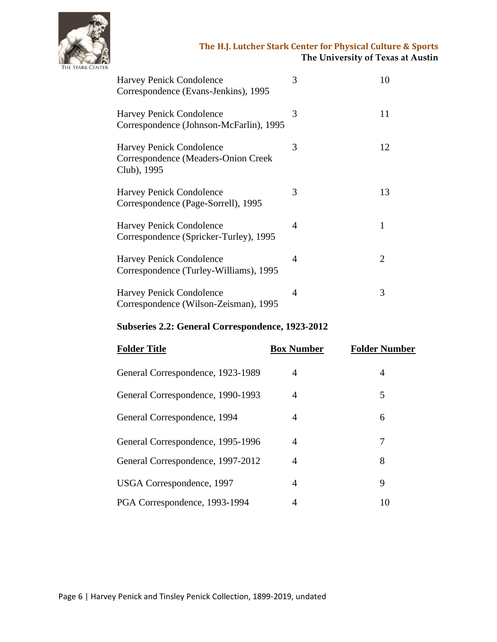

| <b>Harvey Penick Condolence</b><br>Correspondence (Evans-Jenkins), 1995               | 3 | 10                          |
|---------------------------------------------------------------------------------------|---|-----------------------------|
| Harvey Penick Condolence<br>Correspondence (Johnson-McFarlin), 1995                   | 3 | 11                          |
| <b>Harvey Penick Condolence</b><br>Correspondence (Meaders-Onion Creek<br>Club), 1995 | 3 | 12                          |
| Harvey Penick Condolence<br>Correspondence (Page-Sorrell), 1995                       | 3 | 13                          |
| <b>Harvey Penick Condolence</b><br>Correspondence (Spricker-Turley), 1995             | 4 |                             |
| Harvey Penick Condolence<br>Correspondence (Turley-Williams), 1995                    | 4 | $\mathcal{D}_{\mathcal{L}}$ |
| <b>Harvey Penick Condolence</b><br>Correspondence (Wilson-Zeisman), 1995              | 4 | 3                           |

#### **Subseries 2.2: General Correspondence, 1923-2012**

| <b>Folder Title</b>               | <b>Box Number</b> | <b>Folder Number</b> |
|-----------------------------------|-------------------|----------------------|
| General Correspondence, 1923-1989 | 4                 | 4                    |
| General Correspondence, 1990-1993 | 4                 | 5                    |
| General Correspondence, 1994      | 4                 | 6                    |
| General Correspondence, 1995-1996 | 4                 | 7                    |
| General Correspondence, 1997-2012 | 4                 | 8                    |
| USGA Correspondence, 1997         | 4                 | 9                    |
| PGA Correspondence, 1993-1994     | 4                 | 10                   |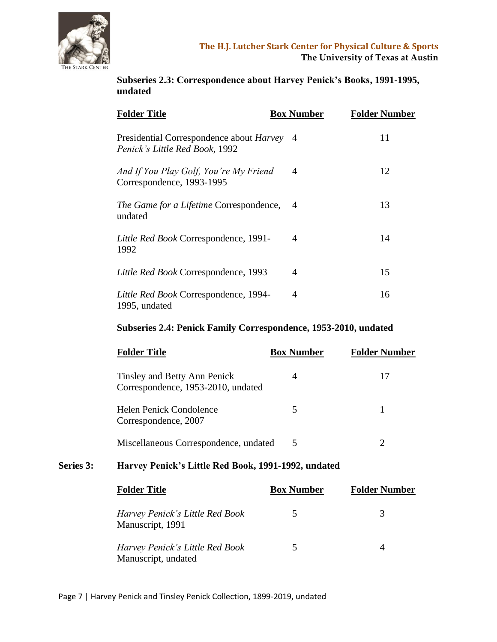

**Subseries 2.3: Correspondence about Harvey Penick's Books, 1991-1995, undated**

| <b>Folder Title</b>                                                          | <b>Box Number</b> | <b>Folder Number</b> |
|------------------------------------------------------------------------------|-------------------|----------------------|
| Presidential Correspondence about Harvey 4<br>Penick's Little Red Book, 1992 |                   | 11                   |
| And If You Play Golf, You're My Friend<br>Correspondence, 1993-1995          | 4                 | 12                   |
| The Game for a Lifetime Correspondence,<br>undated                           |                   | 13                   |
| Little Red Book Correspondence, 1991-<br>1992                                | 4                 | 14                   |
| Little Red Book Correspondence, 1993                                         | 4                 | 15                   |
| Little Red Book Correspondence, 1994-<br>1995, undated                       | 4                 | 16                   |

#### **Subseries 2.4: Penick Family Correspondence, 1953-2010, undated**

| <b>Folder Title</b>                                                | <b>Box Number</b> | <b>Folder Number</b> |
|--------------------------------------------------------------------|-------------------|----------------------|
| Tinsley and Betty Ann Penick<br>Correspondence, 1953-2010, undated |                   |                      |
| Helen Penick Condolence<br>Correspondence, 2007                    |                   |                      |
| Miscellaneous Correspondence, undated                              | 5                 | 2                    |
|                                                                    |                   |                      |

# **Series 3: Harvey Penick's Little Red Book, 1991-1992, undated**

| <b>Folder Title</b>                                    | <b>Box Number</b> | <b>Folder Number</b> |
|--------------------------------------------------------|-------------------|----------------------|
| Harvey Penick's Little Red Book<br>Manuscript, 1991    |                   |                      |
| Harvey Penick's Little Red Book<br>Manuscript, undated | 5                 |                      |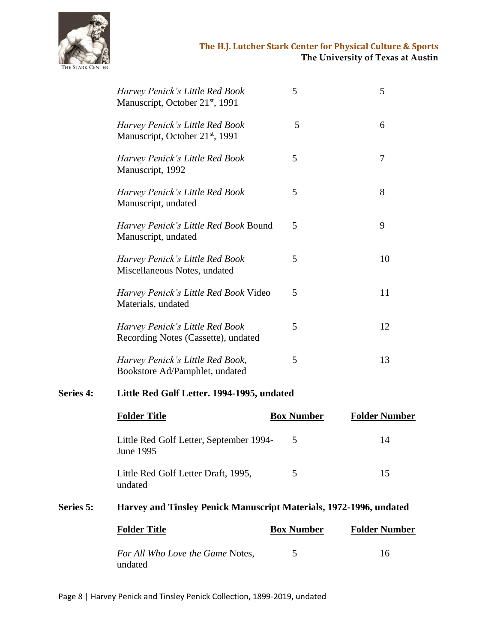

| Harvey Penick's Little Red Book<br>Manuscript, October 21 <sup>st</sup> , 1991 | 5 | 5  |
|--------------------------------------------------------------------------------|---|----|
| Harvey Penick's Little Red Book<br>Manuscript, October 21 <sup>st</sup> , 1991 | 5 | 6  |
| Harvey Penick's Little Red Book<br>Manuscript, 1992                            | 5 | 7  |
| Harvey Penick's Little Red Book<br>Manuscript, undated                         | 5 | 8  |
| Harvey Penick's Little Red Book Bound<br>Manuscript, undated                   | 5 | 9  |
| Harvey Penick's Little Red Book<br>Miscellaneous Notes, undated                | 5 | 10 |
| Harvey Penick's Little Red Book Video<br>Materials, undated                    | 5 | 11 |
| Harvey Penick's Little Red Book<br>Recording Notes (Cassette), undated         | 5 | 12 |
| Harvey Penick's Little Red Book,<br>Bookstore Ad/Pamphlet, undated             | 5 | 13 |

# **Series 4: Little Red Golf Letter. 1994-1995, undated**

|                  | <b>Folder Title</b>                                                | <b>Box Number</b> | <b>Folder Number</b> |
|------------------|--------------------------------------------------------------------|-------------------|----------------------|
|                  | Little Red Golf Letter, September 1994-<br>June 1995               | 5                 | 14                   |
|                  | Little Red Golf Letter Draft, 1995,<br>undated                     | 5                 | 15                   |
| <b>Series 5:</b> | Harvey and Tinsley Penick Manuscript Materials, 1972-1996, undated |                   |                      |
|                  | <b>Folder Title</b>                                                | <b>Box Number</b> | <b>Folder Number</b> |
|                  | For All Who Love the Game Notes,                                   |                   | 16                   |

undated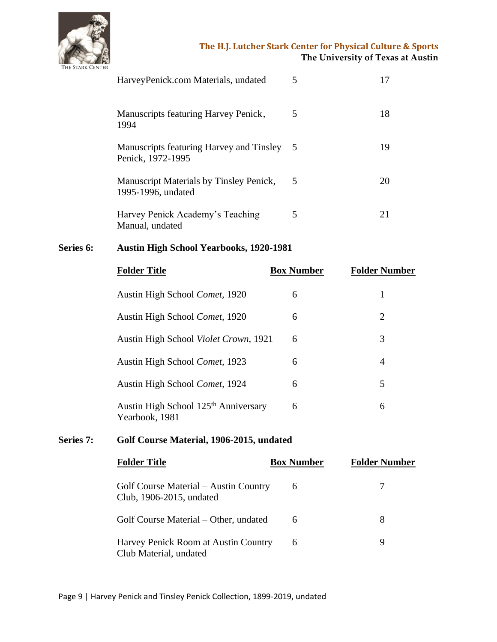

| HarveyPenick.com Materials, undated                           | 5   |    |
|---------------------------------------------------------------|-----|----|
| Manuscripts featuring Harvey Penick,<br>1994                  | 5   | 18 |
| Manuscripts featuring Harvey and Tinsley<br>Penick, 1972-1995 | - 5 | 19 |
| Manuscript Materials by Tinsley Penick,<br>1995-1996, undated | 5   |    |
| Harvey Penick Academy's Teaching<br>Manual, undated           | 5   |    |

# **Series 6: Austin High School Yearbooks, 1920-1981**

|           | <b>Folder Title</b>                                                | <b>Box Number</b> | <b>Folder Number</b> |
|-----------|--------------------------------------------------------------------|-------------------|----------------------|
|           | Austin High School Comet, 1920                                     | 6                 | 1                    |
|           | Austin High School Comet, 1920                                     | 6                 | $\overline{2}$       |
|           | Austin High School Violet Crown, 1921                              | 6                 | 3                    |
|           | Austin High School Comet, 1923                                     | 6                 | $\overline{4}$       |
|           | Austin High School Comet, 1924                                     | 6                 | 5                    |
|           | Austin High School 125 <sup>th</sup> Anniversary<br>Yearbook, 1981 | 6                 | 6                    |
| Series 7: | Golf Course Material, 1906-2015, undated                           |                   |                      |
|           | <b>PERS</b> 2 <b>R</b><br>- - -                                    |                   |                      |

| <b>Folder Title</b>                                               | <b>Box Number</b> | <b>Folder Number</b> |
|-------------------------------------------------------------------|-------------------|----------------------|
| Golf Course Material – Austin Country<br>Club, 1906-2015, undated | 6                 |                      |
| Golf Course Material – Other, undated                             | 6                 | 8                    |
| Harvey Penick Room at Austin Country<br>Club Material, undated    | 6                 | 9                    |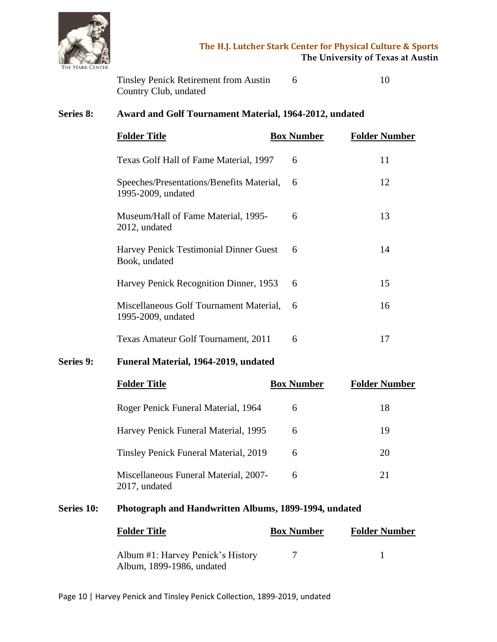

Tinsley Penick Retirement from Austin 6 10 Country Club, undated

# **Series 8: Award and Golf Tournament Material, 1964-2012, undated**

| <b>Folder Title</b>                                             | <b>Box Number</b> | <b>Folder Number</b> |
|-----------------------------------------------------------------|-------------------|----------------------|
| Texas Golf Hall of Fame Material, 1997                          | 6                 | 11                   |
| Speeches/Presentations/Benefits Material,<br>1995-2009, undated | 6                 | 12                   |
| Museum/Hall of Fame Material, 1995-<br>2012, undated            | 6                 | 13                   |
| Harvey Penick Testimonial Dinner Guest<br>Book, undated         | 6                 | 14                   |
| Harvey Penick Recognition Dinner, 1953                          | 6                 | 15                   |
| Miscellaneous Golf Tournament Material,<br>1995-2009, undated   | 6                 | 16                   |
| Texas Amateur Golf Tournament, 2011                             | 6                 | 17                   |

#### **Series 9: Funeral Material, 1964-2019, undated**

| <b>Folder Title</b>                                    | <b>Box Number</b> | <b>Folder Number</b> |
|--------------------------------------------------------|-------------------|----------------------|
| Roger Penick Funeral Material, 1964                    | 6                 | 18                   |
| Harvey Penick Funeral Material, 1995                   | 6                 | 19                   |
| <b>Tinsley Penick Funeral Material, 2019</b>           | 6                 | 20                   |
| Miscellaneous Funeral Material, 2007-<br>2017, undated | 6                 | 21                   |

#### **Series 10: Photograph and Handwritten Albums, 1899-1994, undated**

| <b>Folder Title</b>                                            | <b>Box Number</b> | <b>Folder Number</b> |
|----------------------------------------------------------------|-------------------|----------------------|
| Album #1: Harvey Penick's History<br>Album, 1899-1986, undated |                   |                      |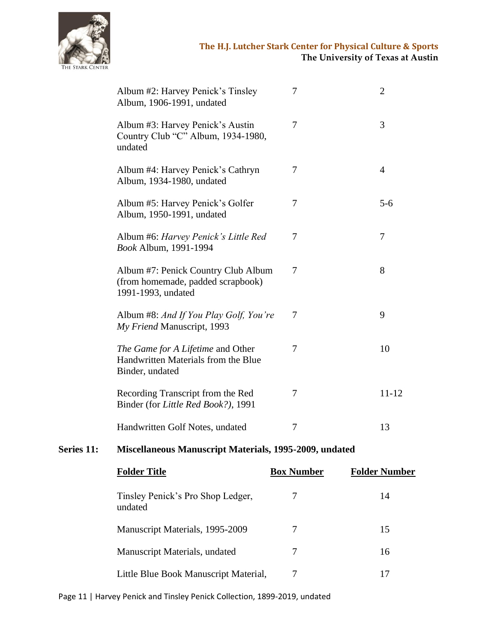

| Album #2: Harvey Penick's Tinsley<br>Album, 1906-1991, undated                                 | 7 | $\overline{2}$ |
|------------------------------------------------------------------------------------------------|---|----------------|
| Album #3: Harvey Penick's Austin<br>Country Club "C" Album, 1934-1980,<br>undated              | 7 | 3              |
| Album #4: Harvey Penick's Cathryn<br>Album, 1934-1980, undated                                 | 7 | $\overline{4}$ |
| Album #5: Harvey Penick's Golfer<br>Album, 1950-1991, undated                                  | 7 | $5 - 6$        |
| Album #6: Harvey Penick's Little Red<br>Book Album, 1991-1994                                  | 7 | 7              |
| Album #7: Penick Country Club Album<br>(from homemade, padded scrapbook)<br>1991-1993, undated | 7 | 8              |
| Album #8: And If You Play Golf, You're<br>My Friend Manuscript, 1993                           | 7 | 9              |
| The Game for A Lifetime and Other<br>Handwritten Materials from the Blue<br>Binder, undated    | 7 | 10             |
| Recording Transcript from the Red<br>Binder (for Little Red Book?), 1991                       | 7 | $11 - 12$      |
| Handwritten Golf Notes, undated                                                                | 7 | 13             |

# **Series 11: Miscellaneous Manuscript Materials, 1995-2009, undated**

| <b>Folder Title</b>                          | <b>Box Number</b> | <b>Folder Number</b> |
|----------------------------------------------|-------------------|----------------------|
| Tinsley Penick's Pro Shop Ledger,<br>undated |                   | 14                   |
| Manuscript Materials, 1995-2009              |                   | 15                   |
| Manuscript Materials, undated                |                   | 16                   |
| Little Blue Book Manuscript Material,        |                   |                      |

Page 11 | Harvey Penick and Tinsley Penick Collection, 1899-2019, undated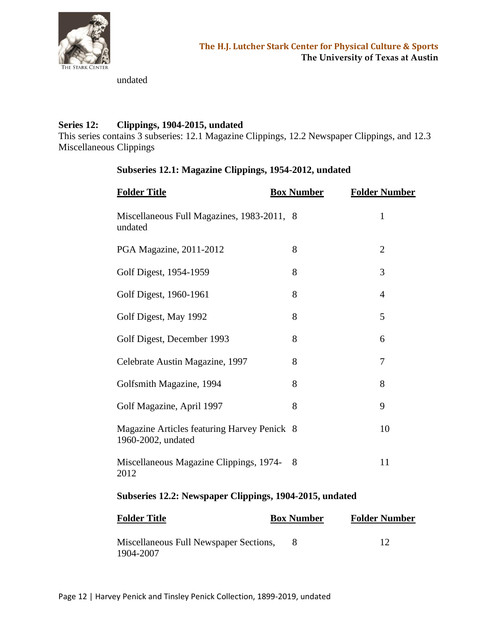

undated

## **Series 12: Clippings, 1904-2015, undated**

This series contains 3 subseries: 12.1 Magazine Clippings, 12.2 Newspaper Clippings, and 12.3 Miscellaneous Clippings

| <b>Folder Title</b>                                               | <b>Box Number</b> | <b>Folder Number</b> |
|-------------------------------------------------------------------|-------------------|----------------------|
| Miscellaneous Full Magazines, 1983-2011, 8<br>undated             |                   | $\mathbf{1}$         |
| PGA Magazine, 2011-2012                                           | 8                 | $\overline{2}$       |
| Golf Digest, 1954-1959                                            | 8                 | 3                    |
| Golf Digest, 1960-1961                                            | 8                 | $\overline{4}$       |
| Golf Digest, May 1992                                             | 8                 | 5                    |
| Golf Digest, December 1993                                        | 8                 | 6                    |
| Celebrate Austin Magazine, 1997                                   | 8                 | $\overline{7}$       |
| Golfsmith Magazine, 1994                                          | 8                 | 8                    |
| Golf Magazine, April 1997                                         | 8                 | 9                    |
| Magazine Articles featuring Harvey Penick 8<br>1960-2002, undated |                   | 10                   |
| Miscellaneous Magazine Clippings, 1974-<br>2012                   | 8                 | 11                   |

# **Subseries 12.1: Magazine Clippings, 1954-2012, undated**

# **Subseries 12.2: Newspaper Clippings, 1904-2015, undated**

| Folder Title                                        | <b>Box Number</b> | <b>Folder Number</b> |
|-----------------------------------------------------|-------------------|----------------------|
| Miscellaneous Full Newspaper Sections,<br>1904-2007 |                   |                      |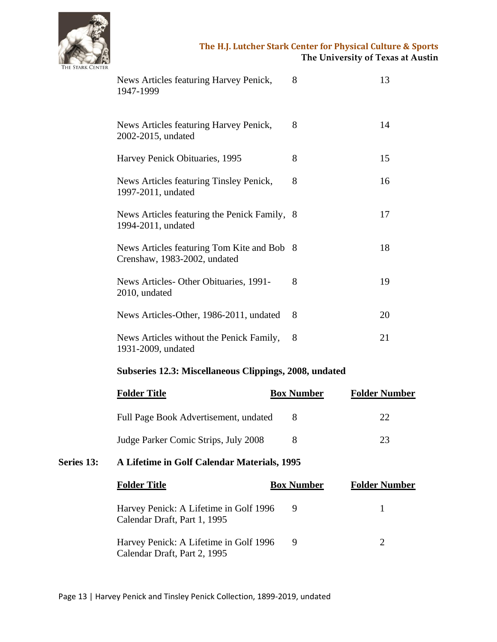

| News Articles featuring Harvey Penick,<br>1947-1999                      | 8 | 13 |
|--------------------------------------------------------------------------|---|----|
| News Articles featuring Harvey Penick,<br>2002-2015, undated             | 8 | 14 |
| Harvey Penick Obituaries, 1995                                           | 8 | 15 |
| News Articles featuring Tinsley Penick,<br>1997-2011, undated            | 8 | 16 |
| News Articles featuring the Penick Family,<br>1994-2011, undated         | 8 | 17 |
| News Articles featuring Tom Kite and Bob<br>Crenshaw, 1983-2002, undated | 8 | 18 |
| News Articles-Other Obituaries, 1991-<br>2010, undated                   | 8 | 19 |
| News Articles-Other, 1986-2011, undated                                  | 8 | 20 |
| News Articles without the Penick Family,<br>1931-2009, undated           | 8 | 21 |

# **Subseries 12.3: Miscellaneous Clippings, 2008, undated**

| <b>Folder Title</b>                   | <b>Box Number</b> | <b>Folder Number</b> |
|---------------------------------------|-------------------|----------------------|
| Full Page Book Advertisement, undated |                   | $22^{\circ}$         |
| Judge Parker Comic Strips, July 2008  |                   | 23                   |

# **Series 13: A Lifetime in Golf Calendar Materials, 1995**

| <b>Folder Title</b>                                                    | <b>Box Number</b> | <b>Folder Number</b> |
|------------------------------------------------------------------------|-------------------|----------------------|
| Harvey Penick: A Lifetime in Golf 1996<br>Calendar Draft, Part 1, 1995 |                   |                      |
| Harvey Penick: A Lifetime in Golf 1996<br>Calendar Draft, Part 2, 1995 |                   |                      |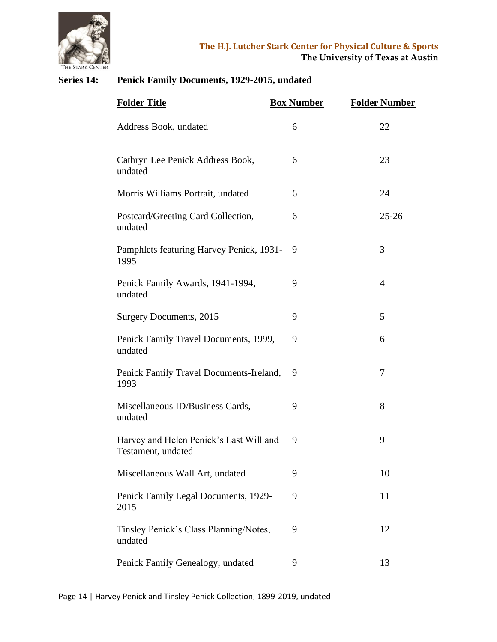

# **Series 14: Penick Family Documents, 1929-2015, undated**

| <b>Folder Title</b>                                           | <b>Box Number</b> | <b>Folder Number</b> |
|---------------------------------------------------------------|-------------------|----------------------|
| Address Book, undated                                         | 6                 | 22                   |
| Cathryn Lee Penick Address Book,<br>undated                   | 6                 | 23                   |
| Morris Williams Portrait, undated                             | 6                 | 24                   |
| Postcard/Greeting Card Collection,<br>undated                 | 6                 | $25 - 26$            |
| Pamphlets featuring Harvey Penick, 1931-<br>1995              | 9                 | 3                    |
| Penick Family Awards, 1941-1994,<br>undated                   | 9                 | $\overline{4}$       |
| Surgery Documents, 2015                                       | 9                 | 5                    |
| Penick Family Travel Documents, 1999,<br>undated              | 9                 | 6                    |
| Penick Family Travel Documents-Ireland,<br>1993               | 9                 | 7                    |
| Miscellaneous ID/Business Cards,<br>undated                   | 9                 | 8                    |
| Harvey and Helen Penick's Last Will and<br>Testament, undated | 9                 | 9                    |
| Miscellaneous Wall Art, undated                               | 9                 | 10                   |
| Penick Family Legal Documents, 1929-<br>2015                  | 9                 | 11                   |
| Tinsley Penick's Class Planning/Notes,<br>undated             | 9                 | 12                   |
| Penick Family Genealogy, undated                              | 9                 | 13                   |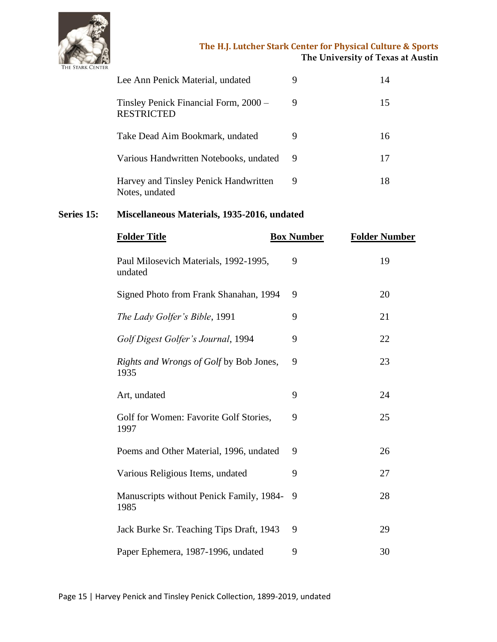

| Lee Ann Penick Material, undated                           |   |    |
|------------------------------------------------------------|---|----|
| Tinsley Penick Financial Form, 2000 –<br><b>RESTRICTED</b> | 9 | 15 |
| Take Dead Aim Bookmark, undated                            |   | 16 |
| Various Handwritten Notebooks, undated                     | 9 |    |
| Harvey and Tinsley Penick Handwritten<br>Notes, undated    | 9 | 18 |

# **Series 15: Miscellaneous Materials, 1935-2016, undated**

| <b>Folder Title</b>                              | <b>Box Number</b> | <b>Folder Number</b> |
|--------------------------------------------------|-------------------|----------------------|
| Paul Milosevich Materials, 1992-1995,<br>undated | 9                 | 19                   |
| Signed Photo from Frank Shanahan, 1994           | 9                 | 20                   |
| The Lady Golfer's Bible, 1991                    | 9                 | 21                   |
| Golf Digest Golfer's Journal, 1994               | 9                 | 22                   |
| Rights and Wrongs of Golf by Bob Jones,<br>1935  | 9                 | 23                   |
| Art, undated                                     | 9                 | 24                   |
| Golf for Women: Favorite Golf Stories,<br>1997   | 9                 | 25                   |
| Poems and Other Material, 1996, undated          | 9                 | 26                   |
| Various Religious Items, undated                 | 9                 | 27                   |
| Manuscripts without Penick Family, 1984-<br>1985 | 9                 | 28                   |
| Jack Burke Sr. Teaching Tips Draft, 1943         | 9                 | 29                   |
| Paper Ephemera, 1987-1996, undated               | 9                 | 30                   |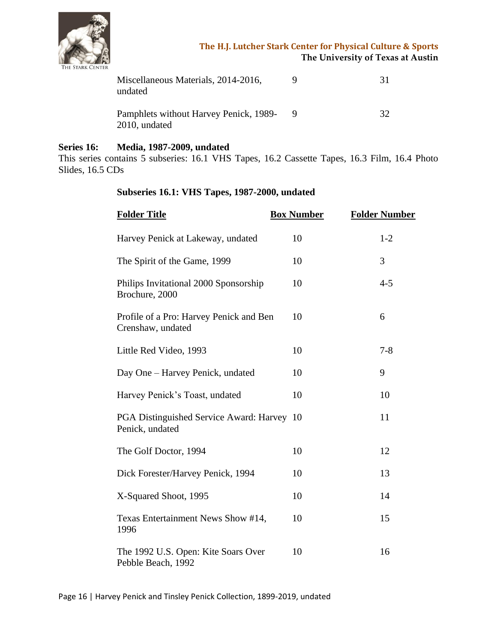

| Miscellaneous Materials, 2014-2016,<br>undated          | 31 |
|---------------------------------------------------------|----|
| Pamphlets without Harvey Penick, 1989-<br>2010, undated | 32 |

#### **Series 16: Media, 1987-2009, undated**

This series contains 5 subseries: 16.1 VHS Tapes, 16.2 Cassette Tapes, 16.3 Film, 16.4 Photo Slides, 16.5 CDs

#### **Subseries 16.1: VHS Tapes, 1987-2000, undated**

| <b>Folder Title</b>                                           | <b>Box Number</b> | <b>Folder Number</b> |
|---------------------------------------------------------------|-------------------|----------------------|
| Harvey Penick at Lakeway, undated                             | 10                | $1 - 2$              |
| The Spirit of the Game, 1999                                  | 10                | 3                    |
| Philips Invitational 2000 Sponsorship<br>Brochure, 2000       | 10                | $4 - 5$              |
| Profile of a Pro: Harvey Penick and Ben<br>Crenshaw, undated  | 10                | 6                    |
| Little Red Video, 1993                                        | 10                | $7 - 8$              |
| Day One - Harvey Penick, undated                              | 10                | 9                    |
| Harvey Penick's Toast, undated                                | 10                | 10                   |
| PGA Distinguished Service Award: Harvey 10<br>Penick, undated |                   | 11                   |
| The Golf Doctor, 1994                                         | 10                | 12                   |
| Dick Forester/Harvey Penick, 1994                             | 10                | 13                   |
| X-Squared Shoot, 1995                                         | 10                | 14                   |
| Texas Entertainment News Show #14,<br>1996                    | 10                | 15                   |
| The 1992 U.S. Open: Kite Soars Over<br>Pebble Beach, 1992     | 10                | 16                   |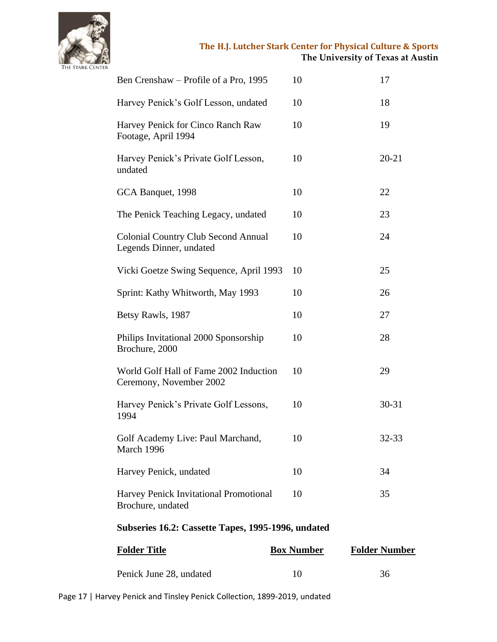

| Ben Crenshaw – Profile of a Pro, 1995                                 | 10 | 17        |  |
|-----------------------------------------------------------------------|----|-----------|--|
| Harvey Penick's Golf Lesson, undated                                  | 10 | 18        |  |
| Harvey Penick for Cinco Ranch Raw<br>Footage, April 1994              | 10 | 19        |  |
| Harvey Penick's Private Golf Lesson,<br>undated                       | 10 | $20 - 21$ |  |
| GCA Banquet, 1998                                                     | 10 | 22        |  |
| The Penick Teaching Legacy, undated                                   | 10 | 23        |  |
| <b>Colonial Country Club Second Annual</b><br>Legends Dinner, undated | 10 | 24        |  |
| Vicki Goetze Swing Sequence, April 1993                               | 10 | 25        |  |
| Sprint: Kathy Whitworth, May 1993                                     | 10 | 26        |  |
| Betsy Rawls, 1987                                                     | 10 | 27        |  |
| Philips Invitational 2000 Sponsorship<br>Brochure, 2000               | 10 | 28        |  |
| World Golf Hall of Fame 2002 Induction<br>Ceremony, November 2002     | 10 | 29        |  |
| Harvey Penick's Private Golf Lessons,<br>1994                         | 10 | 30-31     |  |
| Golf Academy Live: Paul Marchand,<br>March 1996                       | 10 | 32-33     |  |
| Harvey Penick, undated                                                | 10 | 34        |  |
| Harvey Penick Invitational Promotional<br>Brochure, undated           | 10 | 35        |  |
| Subseries 16.2: Cassette Tapes, 1995-1996, undated                    |    |           |  |

| <b>Folder Title</b>     | <b>Box Number</b> | <b>Folder Number</b> |
|-------------------------|-------------------|----------------------|
| Penick June 28, undated |                   | 36                   |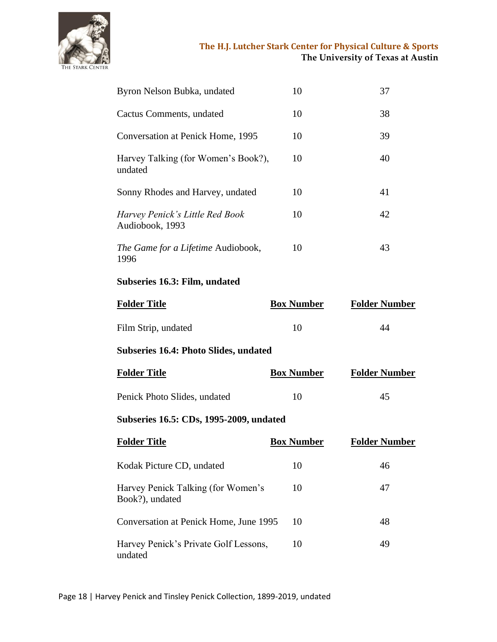

| Byron Nelson Bubka, undated                        | 10 | 37 |
|----------------------------------------------------|----|----|
| Cactus Comments, undated                           | 10 | 38 |
| Conversation at Penick Home, 1995                  | 10 | 39 |
| Harvey Talking (for Women's Book?),<br>undated     | 10 | 40 |
| Sonny Rhodes and Harvey, undated                   | 10 | 41 |
| Harvey Penick's Little Red Book<br>Audiobook, 1993 | 10 | 42 |
| The Game for a Lifetime Audiobook,<br>1996         | 10 | 43 |

#### **Subseries 16.3: Film, undated**

| <b>Folder Title</b>                          | <b>Box Number</b> | <b>Folder Number</b> |
|----------------------------------------------|-------------------|----------------------|
| Film Strip, undated                          | 10                | 44                   |
| <b>Subseries 16.4: Photo Slides, undated</b> |                   |                      |
| <b>Folder Title</b>                          | <b>Box Number</b> | <b>Folder Number</b> |

| Penick Photo Slides, undated |  |
|------------------------------|--|

# **Subseries 16.5: CDs, 1995-2009, undated**

| <b>Folder Title</b>                                   | <b>Box Number</b> | <b>Folder Number</b> |
|-------------------------------------------------------|-------------------|----------------------|
| Kodak Picture CD, undated                             | 10                | 46                   |
| Harvey Penick Talking (for Women's<br>Book?), undated | 10                | 47                   |
| Conversation at Penick Home, June 1995                | 10                | 48                   |
| Harvey Penick's Private Golf Lessons,<br>undated      | 10                | 49                   |